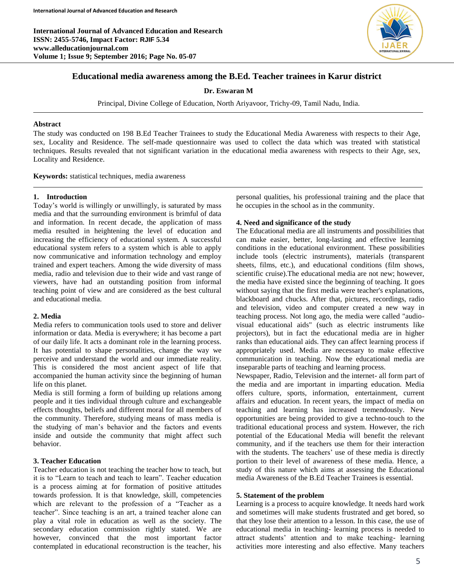**International Journal of Advanced Education and Research ISSN: 2455-5746, Impact Factor: RJIF 5.34 www.alleducationjournal.com Volume 1; Issue 9; September 2016; Page No. 05-07**



# **Educational media awareness among the B.Ed. Teacher trainees in Karur district**

# **Dr. Eswaran M**

Principal, Divine College of Education, North Ariyavoor, Trichy-09, Tamil Nadu, India.

#### **Abstract**

The study was conducted on 198 B.Ed Teacher Trainees to study the Educational Media Awareness with respects to their Age, sex, Locality and Residence. The self-made questionnaire was used to collect the data which was treated with statistical techniques. Results revealed that not significant variation in the educational media awareness with respects to their Age, sex, Locality and Residence.

**Keywords:** statistical techniques, media awareness

#### **1. Introduction**

Today's world is willingly or unwillingly, is saturated by mass media and that the surrounding environment is brimful of data and information. In recent decade, the application of mass media resulted in heightening the level of education and increasing the efficiency of educational system. A successful educational system refers to a system which is able to apply now communicative and information technology and employ trained and expert teachers. Among the wide diversity of mass media, radio and television due to their wide and vast range of viewers, have had an outstanding position from informal teaching point of view and are considered as the best cultural and educational media.

### **2. Media**

Media refers to communication tools used to store and deliver information or data. Media is everywhere; it has become a part of our daily life. It acts a dominant role in the learning process. It has potential to shape personalities, change the way we perceive and understand the world and our immediate reality. This is considered the most ancient aspect of life that accompanied the human activity since the beginning of human life on this planet.

Media is still forming a form of building up relations among people and it ties individual through culture and exchangeable effects thoughts, beliefs and different moral for all members of the community. Therefore, studying means of mass media is the studying of man's behavior and the factors and events inside and outside the community that might affect such behavior.

## **3. Teacher Education**

Teacher education is not teaching the teacher how to teach, but it is to "Learn to teach and teach to learn". Teacher education is a process aiming at for formation of positive attitudes towards profession. It is that knowledge, skill, competencies which are relevant to the profession of a "Teacher as a teacher". Since teaching is an art, a trained teacher alone can play a vital role in education as well as the society. The secondary education commission rightly stated. We are however, convinced that the most important factor contemplated in educational reconstruction is the teacher, his personal qualities, his professional training and the place that he occupies in the school as in the community.

#### **4. Need and significance of the study**

The Educational media are all instruments and possibilities that can make easier, better, long-lasting and effective learning conditions in the educational environment. These possibilities include tools (electric instruments), materials (transparent sheets, films, etc.), and educational conditions (film shows, scientific cruise).The educational media are not new; however, the media have existed since the beginning of teaching. It goes without saying that the first media were teacher's explanations, blackboard and chucks. After that, pictures, recordings, radio and television, video and computer created a new way in teaching process. Not long ago, the media were called "audiovisual educational aids" (such as electric instruments like projectors), but in fact the educational media are in higher ranks than educational aids. They can affect learning process if appropriately used. Media are necessary to make effective communication in teaching. Now the educational media are inseparable parts of teaching and learning process.

Newspaper, Radio, Television and the internet- all form part of the media and are important in imparting education. Media offers culture, sports, information, entertainment, current affairs and education. In recent years, the impact of media on teaching and learning has increased tremendously. New opportunities are being provided to give a techno-touch to the traditional educational process and system. However, the rich potential of the Educational Media will benefit the relevant community, and if the teachers use them for their interaction with the students. The teachers' use of these media is directly portion to their level of awareness of these media. Hence, a study of this nature which aims at assessing the Educational media Awareness of the B.Ed Teacher Trainees is essential.

#### **5. Statement of the problem**

Learning is a process to acquire knowledge. It needs hard work and sometimes will make students frustrated and get bored, so that they lose their attention to a lesson. In this case, the use of educational media in teaching- learning process is needed to attract students' attention and to make teaching- learning activities more interesting and also effective. Many teachers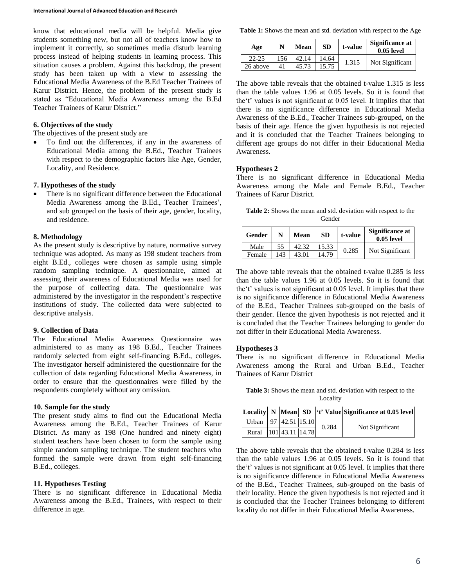know that educational media will be helpful. Media give students something new, but not all of teachers know how to implement it correctly, so sometimes media disturb learning process instead of helping students in learning process. This situation causes a problem. Against this backdrop, the present study has been taken up with a view to assessing the Educational Media Awareness of the B.Ed Teacher Trainees of Karur District. Hence, the problem of the present study is stated as "Educational Media Awareness among the B.Ed Teacher Trainees of Karur District."

### **6. Objectives of the study**

The objectives of the present study are

 To find out the differences, if any in the awareness of Educational Media among the B.Ed., Teacher Trainees with respect to the demographic factors like Age, Gender, Locality, and Residence.

### **7. Hypotheses of the study**

 There is no significant difference between the Educational Media Awareness among the B.Ed., Teacher Trainees', and sub grouped on the basis of their age, gender, locality, and residence.

### **8. Methodology**

As the present study is descriptive by nature, normative survey technique was adopted. As many as 198 student teachers from eight B.Ed., colleges were chosen as sample using simple random sampling technique. A questionnaire, aimed at assessing their awareness of Educational Media was used for the purpose of collecting data. The questionnaire was administered by the investigator in the respondent's respective institutions of study. The collected data were subjected to descriptive analysis.

### **9. Collection of Data**

The Educational Media Awareness Questionnaire was administered to as many as 198 B.Ed., Teacher Trainees randomly selected from eight self-financing B.Ed., colleges. The investigator herself administered the questionnaire for the collection of data regarding Educational Media Awareness, in order to ensure that the questionnaires were filled by the respondents completely without any omission.

## **10. Sample for the study**

The present study aims to find out the Educational Media Awareness among the B.Ed., Teacher Trainees of Karur District. As many as 198 (One hundred and ninety eight) student teachers have been chosen to form the sample using simple random sampling technique. The student teachers who formed the sample were drawn from eight self-financing B.Ed., colleges.

### **11. Hypotheses Testing**

There is no significant difference in Educational Media Awareness among the B.Ed., Trainees, with respect to their difference in age.

**Table 1:** Shows the mean and std. deviation with respect to the Age

| Age       | N   | Mean  | <b>SD</b> | t-value | Significance at<br>$0.05$ level |
|-----------|-----|-------|-----------|---------|---------------------------------|
| $22 - 25$ | 156 |       | 14.64     | 1.315   | Not Significant                 |
| 26 above  | 41  | 45.73 | 15.75     |         |                                 |

The above table reveals that the obtained t-value 1.315 is less than the table values 1.96 at 0.05 levels. So it is found that the't' values is not significant at 0.05 level. It implies that that there is no significance difference in Educational Media Awareness of the B.Ed., Teacher Trainees sub-grouped, on the basis of their age. Hence the given hypothesis is not rejected and it is concluded that the Teacher Trainees belonging to different age groups do not differ in their Educational Media Awareness.

### **Hypotheses 2**

There is no significant difference in Educational Media Awareness among the Male and Female B.Ed., Teacher Trainees of Karur District.

**Table 2:** Shows the mean and std. deviation with respect to the Gender

| Gender | N   | Mean  | <b>SD</b> | t-value | Significance at<br>$0.05$ level |
|--------|-----|-------|-----------|---------|---------------------------------|
| Male   | 55  | 42.32 | 15.33     | 0.285   | Not Significant                 |
| Female | 143 | 43.01 | 14.79     |         |                                 |

The above table reveals that the obtained t-value 0.285 is less than the table values 1.96 at 0.05 levels. So it is found that the't' values is not significant at 0.05 level. It implies that there is no significance difference in Educational Media Awareness of the B.Ed., Teacher Trainees sub-grouped on the basis of their gender. Hence the given hypothesis is not rejected and it is concluded that the Teacher Trainees belonging to gender do not differ in their Educational Media Awareness.

### **Hypotheses 3**

There is no significant difference in Educational Media Awareness among the Rural and Urban B.Ed., Teacher Trainees of Karur District

**Table 3:** Shows the mean and std. deviation with respect to the Locality

|                            |  |       | Locality N Mean SD <sup>  (t'</sup> Value Significance at 0.05 level) |  |
|----------------------------|--|-------|-----------------------------------------------------------------------|--|
| Urban   97   42.51   15.10 |  | 0.284 |                                                                       |  |
| Rural 101 43.11 14.78      |  |       | Not Significant                                                       |  |

The above table reveals that the obtained t-value 0.284 is less than the table values 1.96 at 0.05 levels. So it is found that the't' values is not significant at 0.05 level. It implies that there is no significance difference in Educational Media Awareness of the B.Ed., Teacher Trainees, sub-grouped on the basis of their locality. Hence the given hypothesis is not rejected and it is concluded that the Teacher Trainees belonging to different locality do not differ in their Educational Media Awareness.